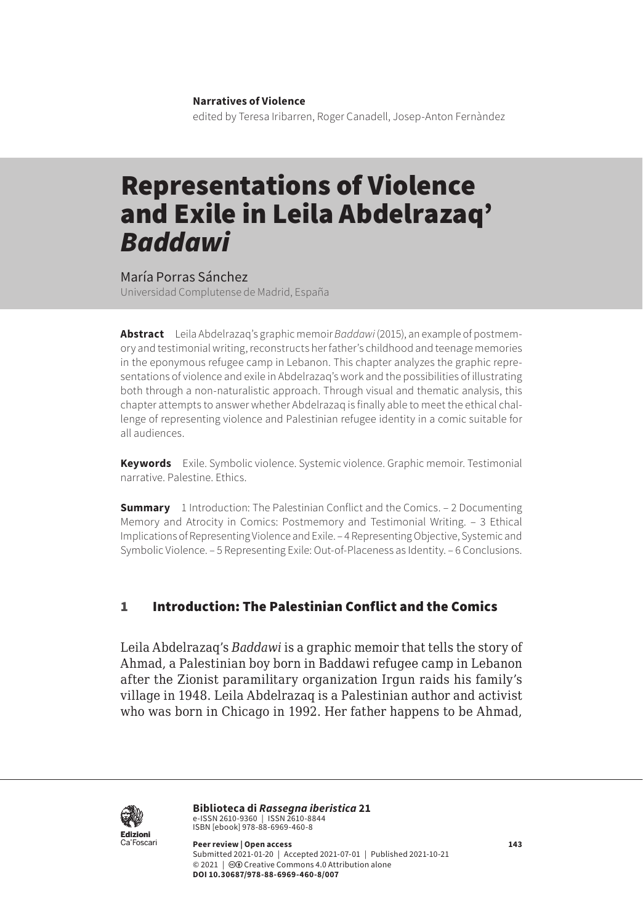**Narratives of Violence**

edited by Teresa Iribarren, Roger Canadell, Josep-Anton Fernàndez

# Representations of Violence and Exile in Leila Abdelrazaq' *Baddawi*

María Porras Sánchez

Universidad Complutense de Madrid, España

**Abstract** Leila Abdelrazaq's graphic memoir *Baddawi* (2015), an example of postmemory and testimonial writing, reconstructs her father's childhood and teenage memories in the eponymous refugee camp in Lebanon. This chapter analyzes the graphic representations of violence and exile in Abdelrazaq's work and the possibilities of illustrating both through a non-naturalistic approach. Through visual and thematic analysis, this chapter attempts to answer whether Abdelrazaq is finally able to meet the ethical challenge of representing violence and Palestinian refugee identity in a comic suitable for all audiences.

**Keywords** Exile. Symbolic violence. Systemic violence. Graphic memoir. Testimonial narrative. Palestine. Ethics.

**Summary** [1 Introduction: The Palestinian Conflict and the Comics](#page-1-0). – 2 Documenting [Memory and Atrocity in Comics: Postmemory and Testimonial Writing](#page-2-0). – [3 Ethical](#page-4-0)  [Implications of Representing Violence and Exile](#page-4-0). – [4 Representing Objective, Systemic and](#page-8-0)  [Symbolic Violence.](#page-8-0) – [5 Representing Exile: Out-of-Placeness as Identity](#page-11-0). – [6 Conclusions.](#page-14-0)

### 1 Introduction: The Palestinian Conflict and the Comics

Leila Abdelrazaq's *Baddawi* is a graphic memoir that tells the story of Ahmad, a Palestinian boy born in Baddawi refugee camp in Lebanon after the Zionist paramilitary organization Irgun raids his family's village in 1948. Leila Abdelrazaq is a Palestinian author and activist who was born in Chicago in 1992. Her father happens to be Ahmad,



**Biblioteca di** *Rassegna iberistica* 21 e-ISSN 2610-9360 | ISSN 2610-8844<br>ISBN [ebook] 978-88-6969-460-8

**Peer review | Open access 143** Submitted 2021-01-20 | Accepted 2021-07-01 | Published 2021-10-21 © 2021 | @ Creative Commons 4.0 Attribution alone **DOI 10.30687/978-88-6969-460-8/007**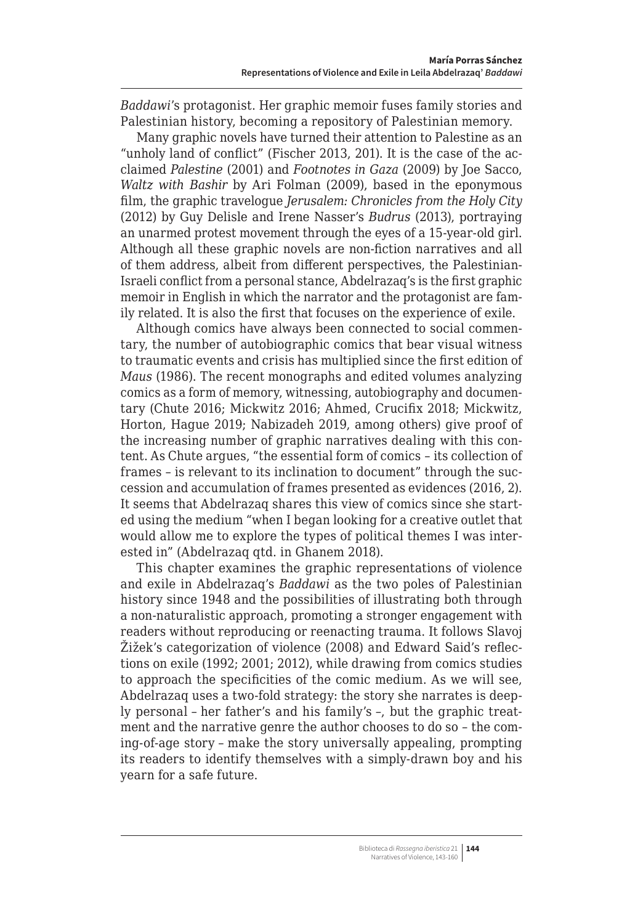<span id="page-1-0"></span>*Baddawi*'s protagonist. Her graphic memoir fuses family stories and Palestinian history, becoming a repository of Palestinian memory.

Many graphic novels have turned their attention to Palestine as an "unholy land of conflict" (Fischer 2013, 201). It is the case of the acclaimed *Palestine* (2001) and *Footnotes in Gaza* (2009) by Joe Sacco, *Waltz with Bashir* by Ari Folman (2009), based in the eponymous film, the graphic travelogue *Jerusalem: Chronicles from the Holy City* (2012) by Guy Delisle and Irene Nasser's *Budrus* (2013), portraying an unarmed protest movement through the eyes of a 15-year-old girl. Although all these graphic novels are non-fiction narratives and all of them address, albeit from different perspectives, the Palestinian-Israeli conflict from a personal stance, Abdelrazaq's is the first graphic memoir in English in which the narrator and the protagonist are family related. It is also the first that focuses on the experience of exile.

Although comics have always been connected to social commentary, the number of autobiographic comics that bear visual witness to traumatic events and crisis has multiplied since the first edition of *Maus* (1986). The recent monographs and edited volumes analyzing comics as a form of memory, witnessing, autobiography and documentary (Chute 2016; Mickwitz 2016; Ahmed, Crucifix 2018; Mickwitz, Horton, Hague 2019; Nabizadeh 2019, among others) give proof of the increasing number of graphic narratives dealing with this content. As Chute argues, "the essential form of comics – its collection of frames – is relevant to its inclination to document" through the succession and accumulation of frames presented as evidences (2016, 2). It seems that Abdelrazaq shares this view of comics since she started using the medium "when I began looking for a creative outlet that would allow me to explore the types of political themes I was interested in" (Abdelrazaq qtd. in Ghanem 2018).

This chapter examines the graphic representations of violence and exile in Abdelrazaq's *Baddawi* as the two poles of Palestinian history since 1948 and the possibilities of illustrating both through a non-naturalistic approach, promoting a stronger engagement with readers without reproducing or reenacting trauma. It follows Slavoj Žižek's categorization of violence (2008) and Edward Said's reflections on exile (1992; 2001; 2012), while drawing from comics studies to approach the specificities of the comic medium. As we will see, Abdelrazaq uses a two-fold strategy: the story she narrates is deeply personal – her father's and his family's –, but the graphic treatment and the narrative genre the author chooses to do so – the coming-of-age story – make the story universally appealing, prompting its readers to identify themselves with a simply-drawn boy and his yearn for a safe future.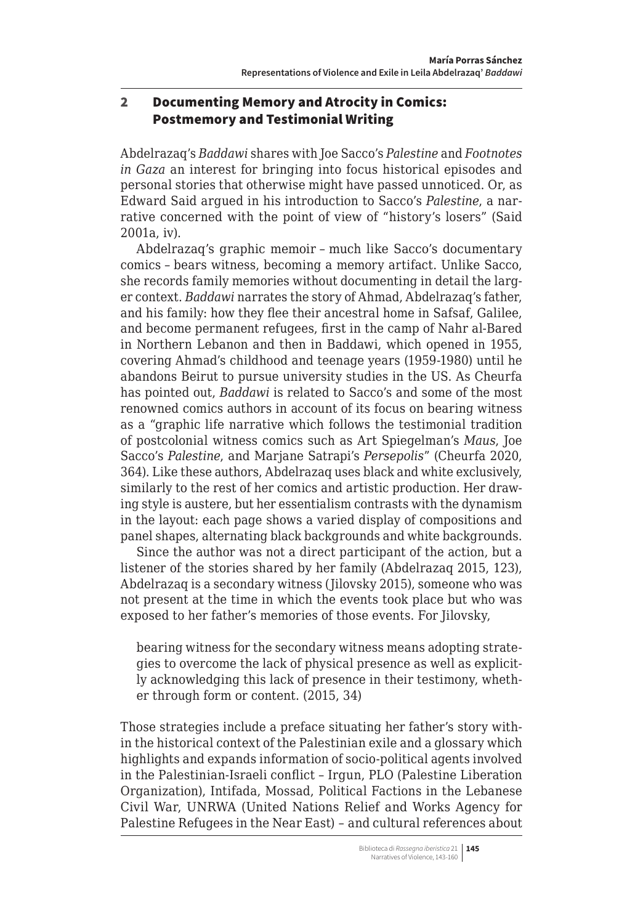## <span id="page-2-0"></span>2 Documenting Memory and Atrocity in Comics: Postmemory and Testimonial Writing

Abdelrazaq's *Baddawi* shares with Joe Sacco's *Palestine* and *Footnotes in Gaza* an interest for bringing into focus historical episodes and personal stories that otherwise might have passed unnoticed. Or, as Edward Said argued in his introduction to Sacco's *Palestine*, a narrative concerned with the point of view of "history's losers" (Said 2001a, iv).

Abdelrazaq's graphic memoir – much like Sacco's documentary comics – bears witness, becoming a memory artifact. Unlike Sacco, she records family memories without documenting in detail the larger context. *Baddawi* narrates the story of Ahmad, Abdelrazaq's father, and his family: how they flee their ancestral home in Safsaf, Galilee, and become permanent refugees, first in the camp of Nahr al-Bared in Northern Lebanon and then in Baddawi, which opened in 1955, covering Ahmad's childhood and teenage years (1959-1980) until he abandons Beirut to pursue university studies in the US. As Cheurfa has pointed out, *Baddawi* is related to Sacco's and some of the most renowned comics authors in account of its focus on bearing witness as a "graphic life narrative which follows the testimonial tradition of postcolonial witness comics such as Art Spiegelman's *Maus*, Joe Sacco's *Palestine*, and Marjane Satrapi's *Persepolis*" (Cheurfa 2020, 364). Like these authors, Abdelrazaq uses black and white exclusively, similarly to the rest of her comics and artistic production. Her drawing style is austere, but her essentialism contrasts with the dynamism in the layout: each page shows a varied display of compositions and panel shapes, alternating black backgrounds and white backgrounds.

Since the author was not a direct participant of the action, but a listener of the stories shared by her family (Abdelrazaq 2015, 123), Abdelrazaq is a secondary witness (Jilovsky 2015), someone who was not present at the time in which the events took place but who was exposed to her father's memories of those events. For Jilovsky,

bearing witness for the secondary witness means adopting strategies to overcome the lack of physical presence as well as explicitly acknowledging this lack of presence in their testimony, whether through form or content. (2015, 34)

Those strategies include a preface situating her father's story within the historical context of the Palestinian exile and a glossary which highlights and expands information of socio-political agents involved in the Palestinian-Israeli conflict – Irgun, PLO (Palestine Liberation Organization), Intifada, Mossad, Political Factions in the Lebanese Civil War, UNRWA (United Nations Relief and Works Agency for Palestine Refugees in the Near East) – and cultural references about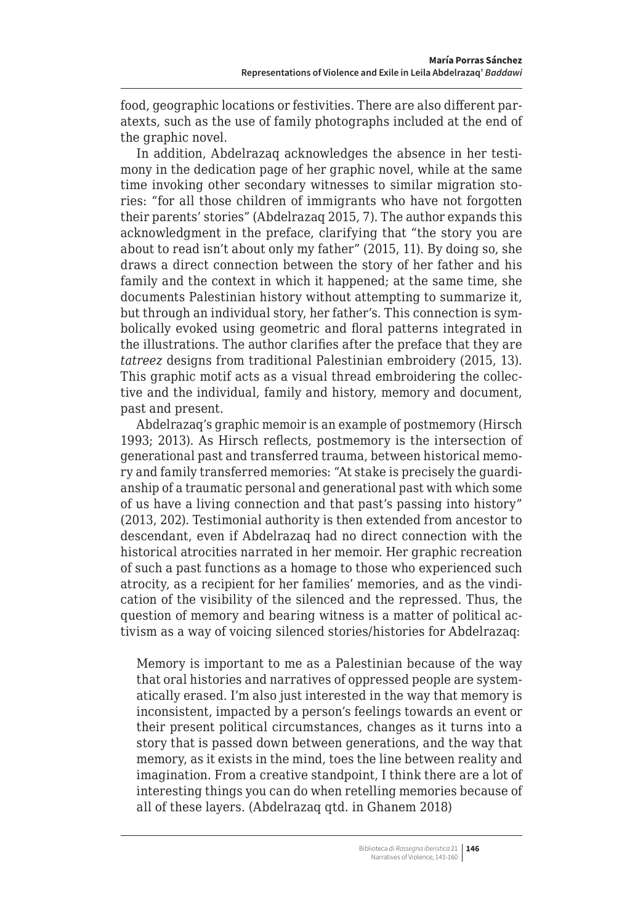food, geographic locations or festivities. There are also different paratexts, such as the use of family photographs included at the end of the graphic novel.

In addition, Abdelrazaq acknowledges the absence in her testimony in the dedication page of her graphic novel, while at the same time invoking other secondary witnesses to similar migration stories: "for all those children of immigrants who have not forgotten their parents' stories" (Abdelrazaq 2015, 7). The author expands this acknowledgment in the preface, clarifying that "the story you are about to read isn't about only my father" (2015, 11). By doing so, she draws a direct connection between the story of her father and his family and the context in which it happened; at the same time, she documents Palestinian history without attempting to summarize it, but through an individual story, her father's. This connection is symbolically evoked using geometric and floral patterns integrated in the illustrations. The author clarifies after the preface that they are *tatreez* designs from traditional Palestinian embroidery (2015, 13). This graphic motif acts as a visual thread embroidering the collective and the individual, family and history, memory and document, past and present.

Abdelrazaq's graphic memoir is an example of postmemory (Hirsch 1993; 2013). As Hirsch reflects, postmemory is the intersection of generational past and transferred trauma, between historical memory and family transferred memories: "At stake is precisely the guardianship of a traumatic personal and generational past with which some of us have a living connection and that past's passing into history" (2013, 202). Testimonial authority is then extended from ancestor to descendant, even if Abdelrazaq had no direct connection with the historical atrocities narrated in her memoir. Her graphic recreation of such a past functions as a homage to those who experienced such atrocity, as a recipient for her families' memories, and as the vindication of the visibility of the silenced and the repressed. Thus, the question of memory and bearing witness is a matter of political activism as a way of voicing silenced stories/histories for Abdelrazaq:

Memory is important to me as a Palestinian because of the way that oral histories and narratives of oppressed people are systematically erased. I'm also just interested in the way that memory is inconsistent, impacted by a person's feelings towards an event or their present political circumstances, changes as it turns into a story that is passed down between generations, and the way that memory, as it exists in the mind, toes the line between reality and imagination. From a creative standpoint, I think there are a lot of interesting things you can do when retelling memories because of all of these layers. (Abdelrazaq qtd. in Ghanem 2018)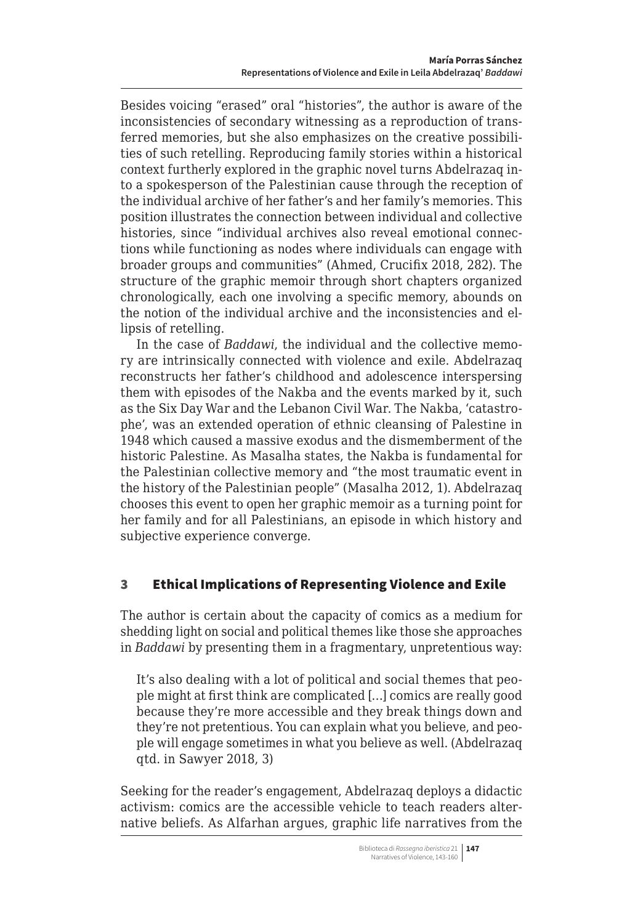<span id="page-4-0"></span>Besides voicing "erased" oral "histories", the author is aware of the inconsistencies of secondary witnessing as a reproduction of transferred memories, but she also emphasizes on the creative possibilities of such retelling. Reproducing family stories within a historical context furtherly explored in the graphic novel turns Abdelrazaq into a spokesperson of the Palestinian cause through the reception of the individual archive of her father's and her family's memories. This position illustrates the connection between individual and collective histories, since "individual archives also reveal emotional connections while functioning as nodes where individuals can engage with broader groups and communities" (Ahmed, Crucifix 2018, 282). The structure of the graphic memoir through short chapters organized chronologically, each one involving a specific memory, abounds on the notion of the individual archive and the inconsistencies and ellipsis of retelling.

In the case of *Baddawi*, the individual and the collective memory are intrinsically connected with violence and exile. Abdelrazaq reconstructs her father's childhood and adolescence interspersing them with episodes of the Nakba and the events marked by it, such as the Six Day War and the Lebanon Civil War. The Nakba, 'catastrophe', was an extended operation of ethnic cleansing of Palestine in 1948 which caused a massive exodus and the dismemberment of the historic Palestine. As Masalha states, the Nakba is fundamental for the Palestinian collective memory and "the most traumatic event in the history of the Palestinian people" (Masalha 2012, 1). Abdelrazaq chooses this event to open her graphic memoir as a turning point for her family and for all Palestinians, an episode in which history and subjective experience converge.

# 3 Ethical Implications of Representing Violence and Exile

The author is certain about the capacity of comics as a medium for shedding light on social and political themes like those she approaches in *Baddawi* by presenting them in a fragmentary, unpretentious way:

It's also dealing with a lot of political and social themes that people might at first think are complicated […] comics are really good because they're more accessible and they break things down and they're not pretentious. You can explain what you believe, and people will engage sometimes in what you believe as well. (Abdelrazaq qtd. in Sawyer 2018, 3)

Seeking for the reader's engagement, Abdelrazaq deploys a didactic activism: comics are the accessible vehicle to teach readers alternative beliefs. As Alfarhan argues, graphic life narratives from the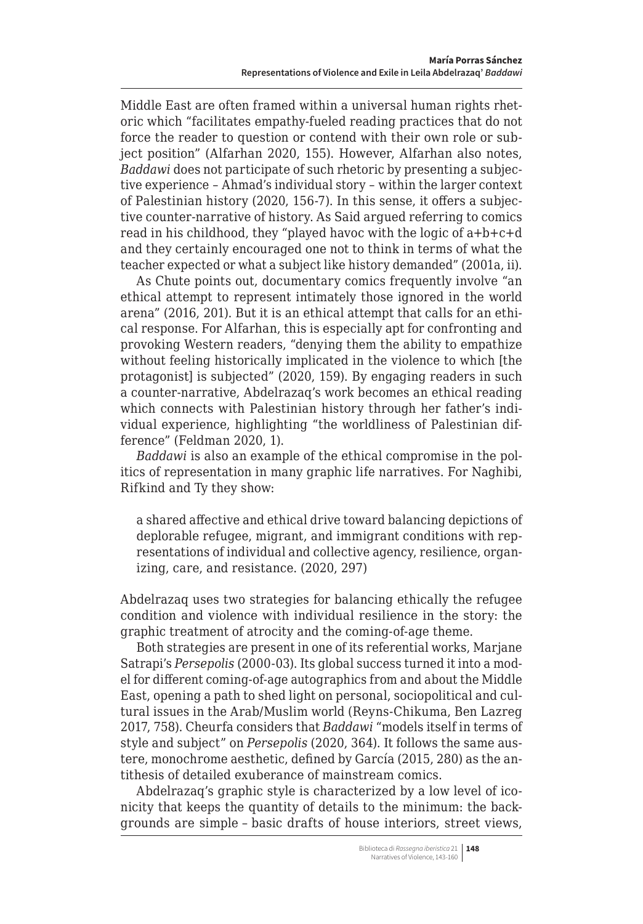Middle East are often framed within a universal human rights rhetoric which "facilitates empathy-fueled reading practices that do not force the reader to question or contend with their own role or subject position" (Alfarhan 2020, 155). However, Alfarhan also notes, *Baddawi* does not participate of such rhetoric by presenting a subjective experience – Ahmad's individual story – within the larger context of Palestinian history (2020, 156-7). In this sense, it offers a subjective counter-narrative of history. As Said argued referring to comics read in his childhood, they "played havoc with the logic of a+b+c+d and they certainly encouraged one not to think in terms of what the teacher expected or what a subject like history demanded" (2001a, ii).

As Chute points out, documentary comics frequently involve "an ethical attempt to represent intimately those ignored in the world arena" (2016, 201). But it is an ethical attempt that calls for an ethical response. For Alfarhan, this is especially apt for confronting and provoking Western readers, "denying them the ability to empathize without feeling historically implicated in the violence to which [the protagonist] is subjected" (2020, 159). By engaging readers in such a counter-narrative, Abdelrazaq's work becomes an ethical reading which connects with Palestinian history through her father's individual experience, highlighting "the worldliness of Palestinian difference" (Feldman 2020, 1).

*Baddawi* is also an example of the ethical compromise in the politics of representation in many graphic life narratives. For Naghibi, Rifkind and Ty they show:

a shared affective and ethical drive toward balancing depictions of deplorable refugee, migrant, and immigrant conditions with representations of individual and collective agency, resilience, organizing, care, and resistance. (2020, 297)

Abdelrazaq uses two strategies for balancing ethically the refugee condition and violence with individual resilience in the story: the graphic treatment of atrocity and the coming-of-age theme.

Both strategies are present in one of its referential works, Marjane Satrapi's *Persepolis* (2000-03). Its global success turned it into a model for different coming-of-age autographics from and about the Middle East, opening a path to shed light on personal, sociopolitical and cultural issues in the Arab/Muslim world (Reyns-Chikuma, Ben Lazreg 2017, 758). Cheurfa considers that *Baddawi* "models itself in terms of style and subject" on *Persepolis* (2020, 364). It follows the same austere, monochrome aesthetic, defined by García (2015, 280) as the antithesis of detailed exuberance of mainstream comics.

Abdelrazaq's graphic style is characterized by a low level of iconicity that keeps the quantity of details to the minimum: the backgrounds are simple – basic drafts of house interiors, street views,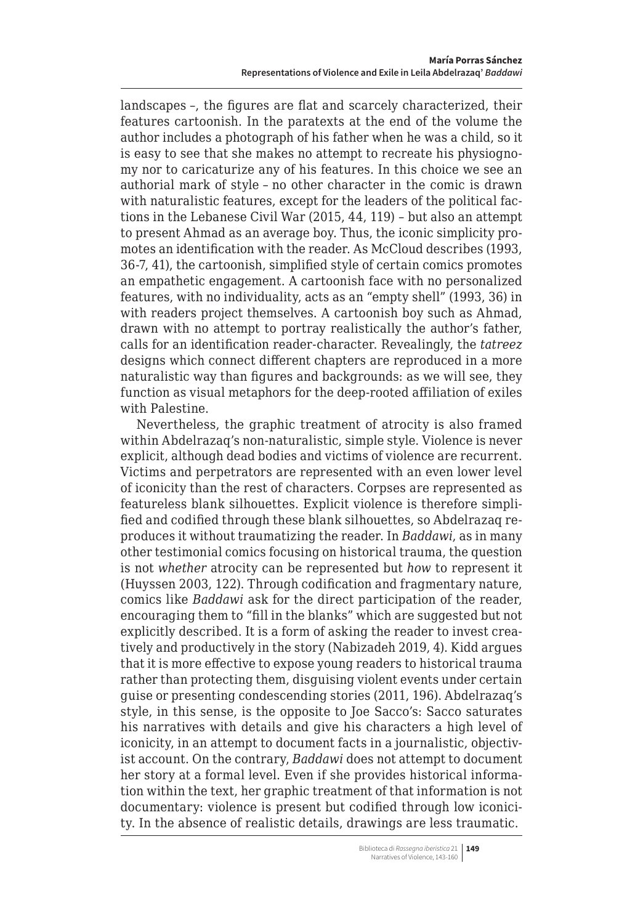landscapes –, the figures are flat and scarcely characterized, their features cartoonish. In the paratexts at the end of the volume the author includes a photograph of his father when he was a child, so it is easy to see that she makes no attempt to recreate his physiognomy nor to caricaturize any of his features. In this choice we see an authorial mark of style – no other character in the comic is drawn with naturalistic features, except for the leaders of the political factions in the Lebanese Civil War (2015, 44, 119) – but also an attempt to present Ahmad as an average boy. Thus, the iconic simplicity promotes an identification with the reader. As McCloud describes (1993, 36-7, 41), the cartoonish, simplified style of certain comics promotes an empathetic engagement. A cartoonish face with no personalized features, with no individuality, acts as an "empty shell" (1993, 36) in with readers project themselves. A cartoonish boy such as Ahmad, drawn with no attempt to portray realistically the author's father, calls for an identification reader-character. Revealingly, the *tatreez* designs which connect different chapters are reproduced in a more naturalistic way than figures and backgrounds: as we will see, they function as visual metaphors for the deep-rooted affiliation of exiles with Palestine.

Nevertheless, the graphic treatment of atrocity is also framed within Abdelrazaq's non-naturalistic, simple style. Violence is never explicit, although dead bodies and victims of violence are recurrent. Victims and perpetrators are represented with an even lower level of iconicity than the rest of characters. Corpses are represented as featureless blank silhouettes. Explicit violence is therefore simplified and codified through these blank silhouettes, so Abdelrazaq reproduces it without traumatizing the reader. In *Baddawi*, as in many other testimonial comics focusing on historical trauma, the question is not *whether* atrocity can be represented but *how* to represent it (Huyssen 2003, 122). Through codification and fragmentary nature, comics like *Baddawi* ask for the direct participation of the reader, encouraging them to "fill in the blanks" which are suggested but not explicitly described. It is a form of asking the reader to invest creatively and productively in the story (Nabizadeh 2019, 4). Kidd argues that it is more effective to expose young readers to historical trauma rather than protecting them, disguising violent events under certain guise or presenting condescending stories (2011, 196). Abdelrazaq's style, in this sense, is the opposite to Joe Sacco's: Sacco saturates his narratives with details and give his characters a high level of iconicity, in an attempt to document facts in a journalistic, objectivist account. On the contrary, *Baddawi* does not attempt to document her story at a formal level. Even if she provides historical information within the text, her graphic treatment of that information is not documentary: violence is present but codified through low iconicity. In the absence of realistic details, drawings are less traumatic.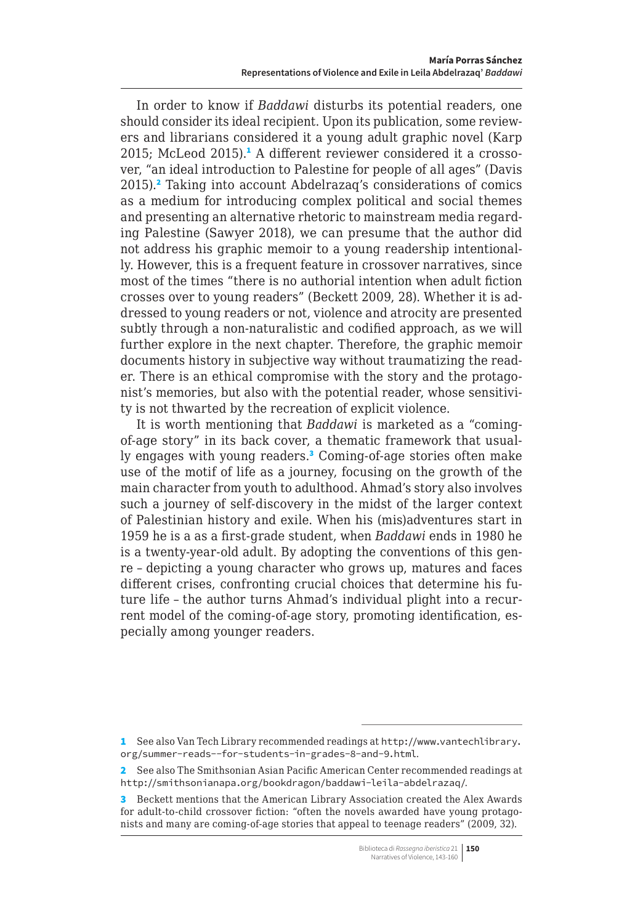In order to know if *Baddawi* disturbs its potential readers, one should consider its ideal recipient. Upon its publication, some reviewers and librarians considered it a young adult graphic novel (Karp 2015; McLeod 2015).<sup>1</sup> A different reviewer considered it a crossover, "an ideal introduction to Palestine for people of all ages" (Davis 2015).<sup>2</sup> Taking into account Abdelrazaq's considerations of comics as a medium for introducing complex political and social themes and presenting an alternative rhetoric to mainstream media regarding Palestine (Sawyer 2018), we can presume that the author did not address his graphic memoir to a young readership intentionally. However, this is a frequent feature in crossover narratives, since most of the times "there is no authorial intention when adult fiction crosses over to young readers" (Beckett 2009, 28). Whether it is addressed to young readers or not, violence and atrocity are presented subtly through a non-naturalistic and codified approach, as we will further explore in the next chapter. Therefore, the graphic memoir documents history in subjective way without traumatizing the reader. There is an ethical compromise with the story and the protagonist's memories, but also with the potential reader, whose sensitivity is not thwarted by the recreation of explicit violence.

It is worth mentioning that *Baddawi* is marketed as a "comingof-age story" in its back cover, a thematic framework that usually engages with young readers.<sup>3</sup> Coming-of-age stories often make use of the motif of life as a journey, focusing on the growth of the main character from youth to adulthood. Ahmad's story also involves such a journey of self-discovery in the midst of the larger context of Palestinian history and exile. When his (mis)adventures start in 1959 he is a as a first-grade student, when *Baddawi* ends in 1980 he is a twenty-year-old adult. By adopting the conventions of this genre – depicting a young character who grows up, matures and faces different crises, confronting crucial choices that determine his future life – the author turns Ahmad's individual plight into a recurrent model of the coming-of-age story, promoting identification, especially among younger readers.

<sup>1</sup> See also Van Tech Library recommended readings at [http://www.vantechlibrary.](http://www.vantechlibrary.org/summer-reads--for-students-in-grades-8-and-9.html) [org/summer-reads--for-students-in-grades-8-and-9.html](http://www.vantechlibrary.org/summer-reads--for-students-in-grades-8-and-9.html).

<sup>2</sup> See also The Smithsonian Asian Pacific American Center recommended readings at <http://smithsonianapa.org/bookdragon/baddawi-leila-abdelrazaq/>.

<sup>3</sup> Beckett mentions that the American Library Association created the Alex Awards for adult-to-child crossover fiction: "often the novels awarded have young protagonists and many are coming-of-age stories that appeal to teenage readers" (2009, 32).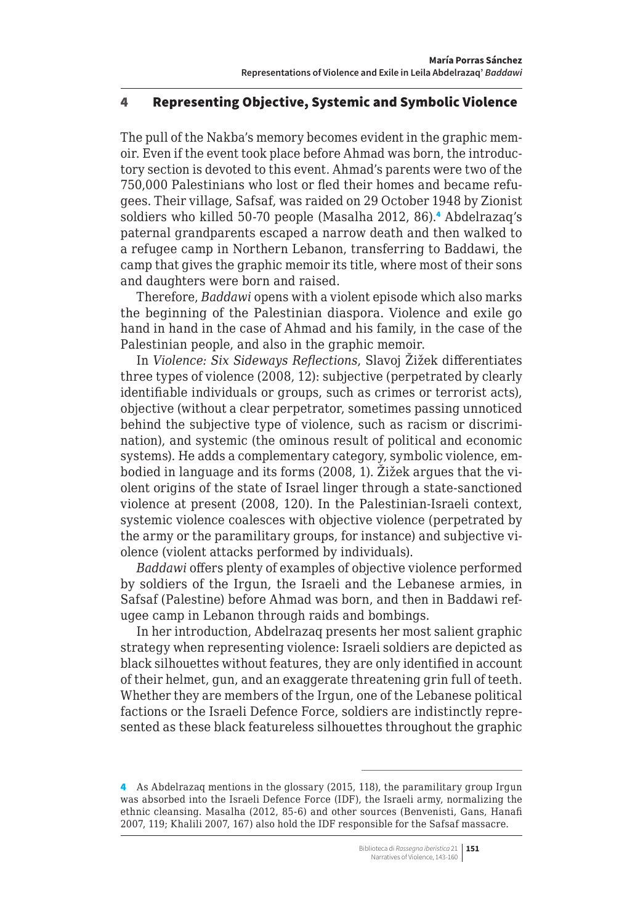#### <span id="page-8-0"></span>4 Representing Objective, Systemic and Symbolic Violence

The pull of the Nakba's memory becomes evident in the graphic memoir. Even if the event took place before Ahmad was born, the introductory section is devoted to this event. Ahmad's parents were two of the 750,000 Palestinians who lost or fled their homes and became refugees. Their village, Safsaf, was raided on 29 October 1948 by Zionist soldiers who killed 50-70 people (Masalha 2012, 86).<sup>4</sup> Abdelrazaq's paternal grandparents escaped a narrow death and then walked to a refugee camp in Northern Lebanon, transferring to Baddawi, the camp that gives the graphic memoir its title, where most of their sons and daughters were born and raised.

Therefore, *Baddawi* opens with a violent episode which also marks the beginning of the Palestinian diaspora. Violence and exile go hand in hand in the case of Ahmad and his family, in the case of the Palestinian people, and also in the graphic memoir.

In *Violence: Six Sideways Reflections*, Slavoj Žižek differentiates three types of violence (2008, 12): subjective (perpetrated by clearly identifiable individuals or groups, such as crimes or terrorist acts), objective (without a clear perpetrator, sometimes passing unnoticed behind the subjective type of violence, such as racism or discrimination), and systemic (the ominous result of political and economic systems). He adds a complementary category, symbolic violence, embodied in language and its forms (2008, 1). Žižek argues that the violent origins of the state of Israel linger through a state-sanctioned violence at present (2008, 120). In the Palestinian-Israeli context, systemic violence coalesces with objective violence (perpetrated by the army or the paramilitary groups, for instance) and subjective violence (violent attacks performed by individuals).

*Baddawi* offers plenty of examples of objective violence performed by soldiers of the Irgun, the Israeli and the Lebanese armies, in Safsaf (Palestine) before Ahmad was born, and then in Baddawi refugee camp in Lebanon through raids and bombings.

In her introduction, Abdelrazaq presents her most salient graphic strategy when representing violence: Israeli soldiers are depicted as black silhouettes without features, they are only identified in account of their helmet, gun, and an exaggerate threatening grin full of teeth. Whether they are members of the Irgun, one of the Lebanese political factions or the Israeli Defence Force, soldiers are indistinctly represented as these black featureless silhouettes throughout the graphic

<sup>4</sup> As Abdelrazaq mentions in the glossary (2015, 118), the paramilitary group Irgun was absorbed into the Israeli Defence Force (IDF), the Israeli army, normalizing the ethnic cleansing. Masalha (2012, 85-6) and other sources (Benvenisti, Gans, Hanafi 2007, 119; Khalili 2007, 167) also hold the IDF responsible for the Safsaf massacre.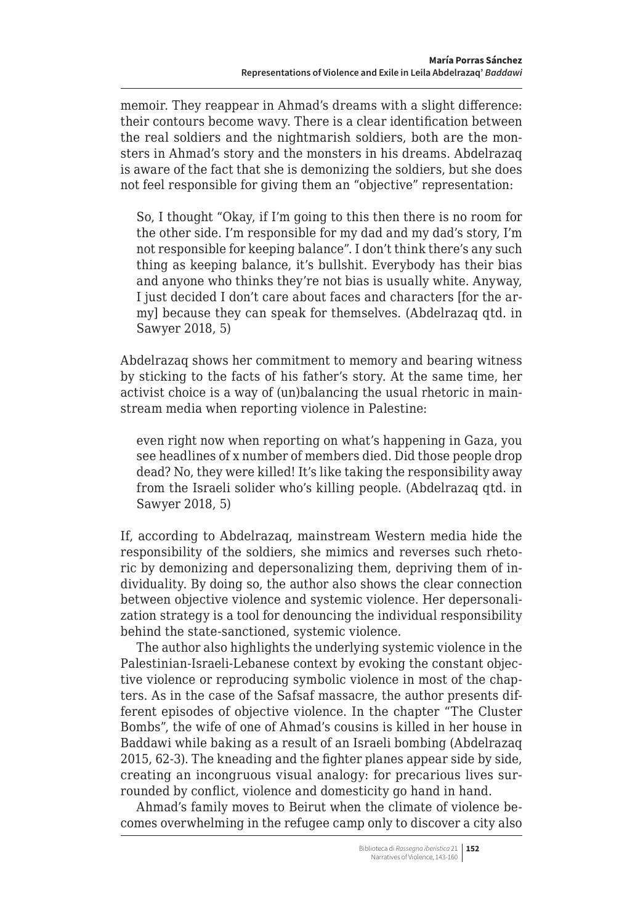memoir. They reappear in Ahmad's dreams with a slight difference: their contours become wavy. There is a clear identification between the real soldiers and the nightmarish soldiers, both are the monsters in Ahmad's story and the monsters in his dreams. Abdelrazaq is aware of the fact that she is demonizing the soldiers, but she does not feel responsible for giving them an "objective" representation:

So, I thought "Okay, if I'm going to this then there is no room for the other side. I'm responsible for my dad and my dad's story, I'm not responsible for keeping balance". I don't think there's any such thing as keeping balance, it's bullshit. Everybody has their bias and anyone who thinks they're not bias is usually white. Anyway, I just decided I don't care about faces and characters [for the army] because they can speak for themselves. (Abdelrazaq qtd. in Sawyer 2018, 5)

Abdelrazaq shows her commitment to memory and bearing witness by sticking to the facts of his father's story. At the same time, her activist choice is a way of (un)balancing the usual rhetoric in mainstream media when reporting violence in Palestine:

even right now when reporting on what's happening in Gaza, you see headlines of x number of members died. Did those people drop dead? No, they were killed! It's like taking the responsibility away from the Israeli solider who's killing people. (Abdelrazaq qtd. in Sawyer 2018, 5)

If, according to Abdelrazaq, mainstream Western media hide the responsibility of the soldiers, she mimics and reverses such rhetoric by demonizing and depersonalizing them, depriving them of individuality. By doing so, the author also shows the clear connection between objective violence and systemic violence. Her depersonalization strategy is a tool for denouncing the individual responsibility behind the state-sanctioned, systemic violence.

The author also highlights the underlying systemic violence in the Palestinian-Israeli-Lebanese context by evoking the constant objective violence or reproducing symbolic violence in most of the chapters. As in the case of the Safsaf massacre, the author presents different episodes of objective violence. In the chapter "The Cluster Bombs", the wife of one of Ahmad's cousins is killed in her house in Baddawi while baking as a result of an Israeli bombing (Abdelrazaq 2015, 62-3). The kneading and the fighter planes appear side by side, creating an incongruous visual analogy: for precarious lives surrounded by conflict, violence and domesticity go hand in hand.

Ahmad's family moves to Beirut when the climate of violence becomes overwhelming in the refugee camp only to discover a city also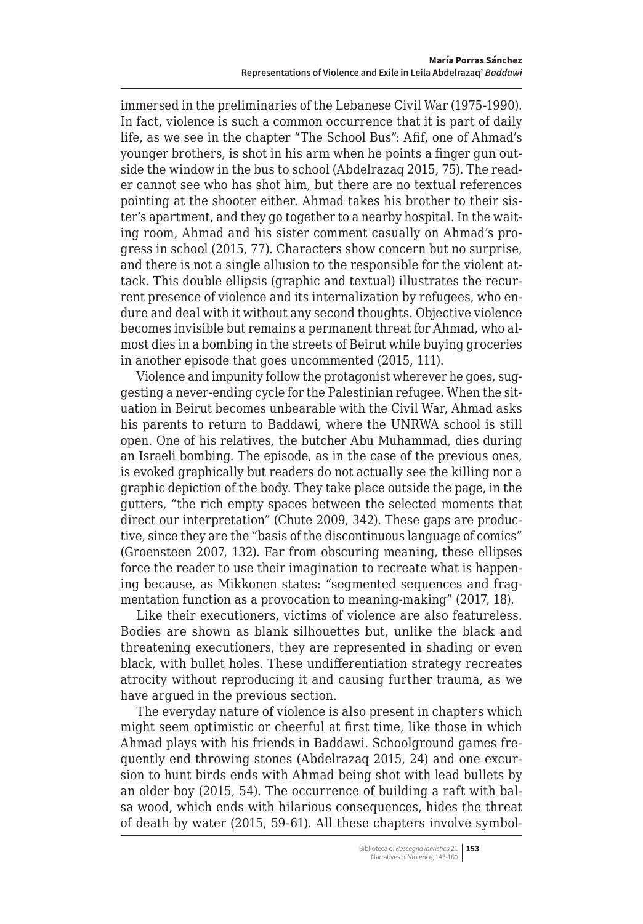immersed in the preliminaries of the Lebanese Civil War (1975-1990). In fact, violence is such a common occurrence that it is part of daily life, as we see in the chapter "The School Bus": Afif, one of Ahmad's younger brothers, is shot in his arm when he points a finger gun outside the window in the bus to school (Abdelrazaq 2015, 75). The reader cannot see who has shot him, but there are no textual references pointing at the shooter either. Ahmad takes his brother to their sister's apartment, and they go together to a nearby hospital. In the waiting room, Ahmad and his sister comment casually on Ahmad's progress in school (2015, 77). Characters show concern but no surprise, and there is not a single allusion to the responsible for the violent attack. This double ellipsis (graphic and textual) illustrates the recurrent presence of violence and its internalization by refugees, who endure and deal with it without any second thoughts. Objective violence becomes invisible but remains a permanent threat for Ahmad, who almost dies in a bombing in the streets of Beirut while buying groceries in another episode that goes uncommented (2015, 111).

Violence and impunity follow the protagonist wherever he goes, suggesting a never-ending cycle for the Palestinian refugee. When the situation in Beirut becomes unbearable with the Civil War, Ahmad asks his parents to return to Baddawi, where the UNRWA school is still open. One of his relatives, the butcher Abu Muhammad, dies during an Israeli bombing. The episode, as in the case of the previous ones, is evoked graphically but readers do not actually see the killing nor a graphic depiction of the body. They take place outside the page, in the gutters, "the rich empty spaces between the selected moments that direct our interpretation" (Chute 2009, 342). These gaps are productive, since they are the "basis of the discontinuous language of comics" (Groensteen 2007, 132). Far from obscuring meaning, these ellipses force the reader to use their imagination to recreate what is happening because, as Mikkonen states: "segmented sequences and fragmentation function as a provocation to meaning-making" (2017, 18).

Like their executioners, victims of violence are also featureless. Bodies are shown as blank silhouettes but, unlike the black and threatening executioners, they are represented in shading or even black, with bullet holes. These undifferentiation strategy recreates atrocity without reproducing it and causing further trauma, as we have argued in the previous section.

The everyday nature of violence is also present in chapters which might seem optimistic or cheerful at first time, like those in which Ahmad plays with his friends in Baddawi. Schoolground games frequently end throwing stones (Abdelrazaq 2015, 24) and one excursion to hunt birds ends with Ahmad being shot with lead bullets by an older boy (2015, 54). The occurrence of building a raft with balsa wood, which ends with hilarious consequences, hides the threat of death by water (2015, 59-61). All these chapters involve symbol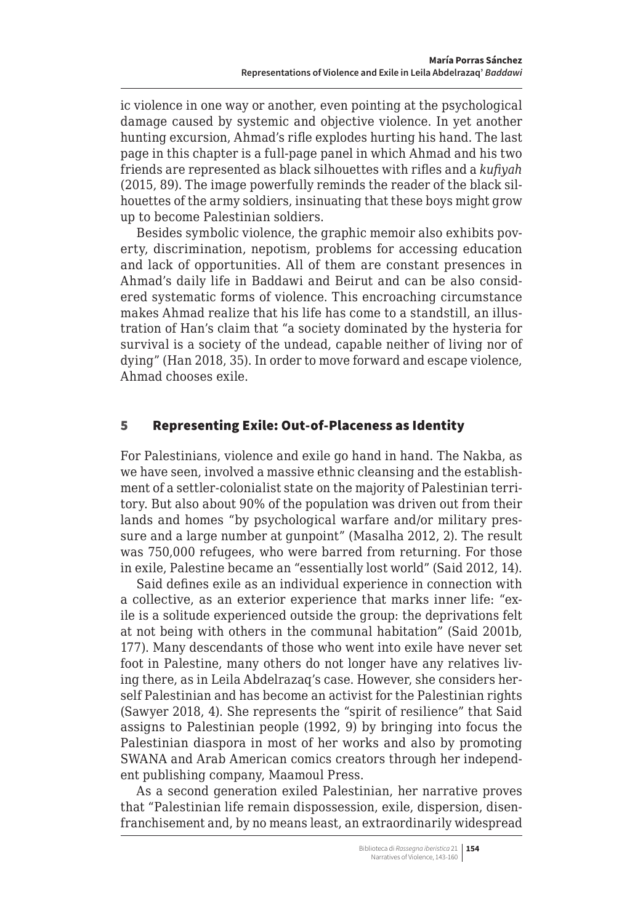<span id="page-11-0"></span>ic violence in one way or another, even pointing at the psychological damage caused by systemic and objective violence. In yet another hunting excursion, Ahmad's rifle explodes hurting his hand. The last page in this chapter is a full-page panel in which Ahmad and his two friends are represented as black silhouettes with rifles and a *kufiyah* (2015, 89). The image powerfully reminds the reader of the black silhouettes of the army soldiers, insinuating that these boys might grow up to become Palestinian soldiers.

Besides symbolic violence, the graphic memoir also exhibits poverty, discrimination, nepotism, problems for accessing education and lack of opportunities. All of them are constant presences in Ahmad's daily life in Baddawi and Beirut and can be also considered systematic forms of violence. This encroaching circumstance makes Ahmad realize that his life has come to a standstill, an illustration of Han's claim that "a society dominated by the hysteria for survival is a society of the undead, capable neither of living nor of dying" (Han 2018, 35). In order to move forward and escape violence, Ahmad chooses exile.

## 5 Representing Exile: Out-of-Placeness as Identity

For Palestinians, violence and exile go hand in hand. The Nakba, as we have seen, involved a massive ethnic cleansing and the establishment of a settler-colonialist state on the majority of Palestinian territory. But also about 90% of the population was driven out from their lands and homes "by psychological warfare and/or military pressure and a large number at gunpoint" (Masalha 2012, 2). The result was 750,000 refugees, who were barred from returning. For those in exile, Palestine became an "essentially lost world" (Said 2012, 14).

Said defines exile as an individual experience in connection with a collective, as an exterior experience that marks inner life: "exile is a solitude experienced outside the group: the deprivations felt at not being with others in the communal habitation" (Said 2001b, 177). Many descendants of those who went into exile have never set foot in Palestine, many others do not longer have any relatives living there, as in Leila Abdelrazaq's case. However, she considers herself Palestinian and has become an activist for the Palestinian rights (Sawyer 2018, 4). She represents the "spirit of resilience" that Said assigns to Palestinian people (1992, 9) by bringing into focus the Palestinian diaspora in most of her works and also by promoting SWANA and Arab American comics creators through her independent publishing company, Maamoul Press.

As a second generation exiled Palestinian, her narrative proves that "Palestinian life remain dispossession, exile, dispersion, disenfranchisement and, by no means least, an extraordinarily widespread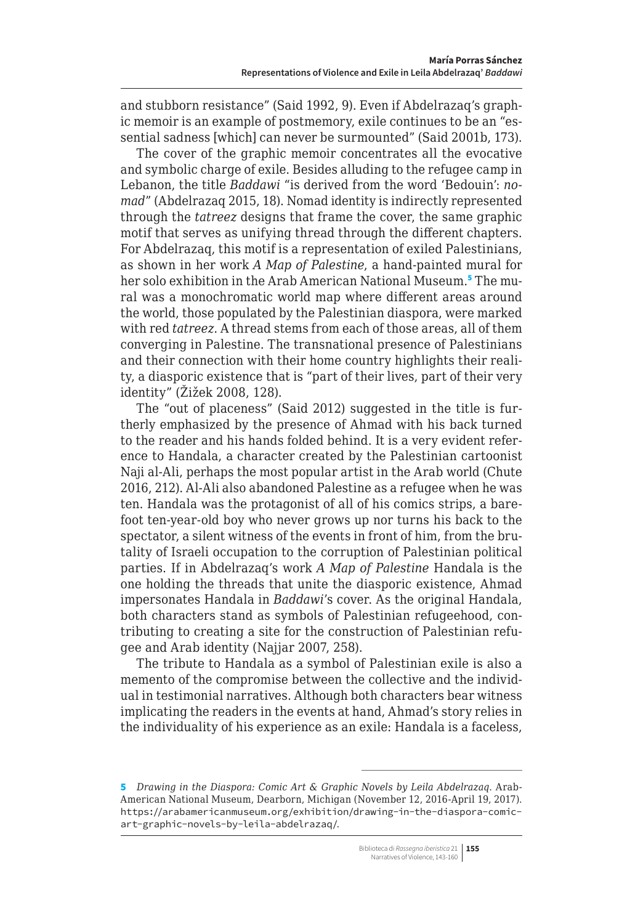and stubborn resistance" (Said 1992, 9). Even if Abdelrazaq's graphic memoir is an example of postmemory, exile continues to be an "essential sadness [which] can never be surmounted" (Said 2001b, 173).

The cover of the graphic memoir concentrates all the evocative and symbolic charge of exile. Besides alluding to the refugee camp in Lebanon, the title *Baddawi* "is derived from the word 'Bedouin': *nomad*" (Abdelrazaq 2015, 18). Nomad identity is indirectly represented through the *tatreez* designs that frame the cover, the same graphic motif that serves as unifying thread through the different chapters. For Abdelrazaq, this motif is a representation of exiled Palestinians, as shown in her work *A Map of Palestine*, a hand-painted mural for her solo exhibition in the Arab American National Museum.<sup>5</sup> The mural was a monochromatic world map where different areas around the world, those populated by the Palestinian diaspora, were marked with red *tatreez*. A thread stems from each of those areas, all of them converging in Palestine. The transnational presence of Palestinians and their connection with their home country highlights their reality, a diasporic existence that is "part of their lives, part of their very identity" (Žižek 2008, 128).

The "out of placeness" (Said 2012) suggested in the title is furtherly emphasized by the presence of Ahmad with his back turned to the reader and his hands folded behind. It is a very evident reference to Handala, a character created by the Palestinian cartoonist Naji al‑Ali, perhaps the most popular artist in the Arab world (Chute 2016, 212). Al-Ali also abandoned Palestine as a refugee when he was ten. Handala was the protagonist of all of his comics strips, a barefoot ten-year-old boy who never grows up nor turns his back to the spectator, a silent witness of the events in front of him, from the brutality of Israeli occupation to the corruption of Palestinian political parties. If in Abdelrazaq's work *A Map of Palestine* Handala is the one holding the threads that unite the diasporic existence, Ahmad impersonates Handala in *Baddawi*'s cover. As the original Handala, both characters stand as symbols of Palestinian refugeehood, contributing to creating a site for the construction of Palestinian refugee and Arab identity (Najjar 2007, 258).

The tribute to Handala as a symbol of Palestinian exile is also a memento of the compromise between the collective and the individual in testimonial narratives. Although both characters bear witness implicating the readers in the events at hand, Ahmad's story relies in the individuality of his experience as an exile: Handala is a faceless,

<sup>5</sup> *Drawing in the Diaspora: Comic Art & Graphic Novels by Leila Abdelrazaq*. Arab-American National Museum, Dearborn, Michigan (November 12, 2016-April 19, 2017). [https://arabamericanmuseum.org/exhibition/drawing-in-the-diaspora-comic](https://arabamericanmuseum.org/exhibition/drawing-in-the-diaspora-comic-art-graphic-novels-by-leila-abdelrazaq/)[art-graphic-novels-by-leila-abdelrazaq/](https://arabamericanmuseum.org/exhibition/drawing-in-the-diaspora-comic-art-graphic-novels-by-leila-abdelrazaq/).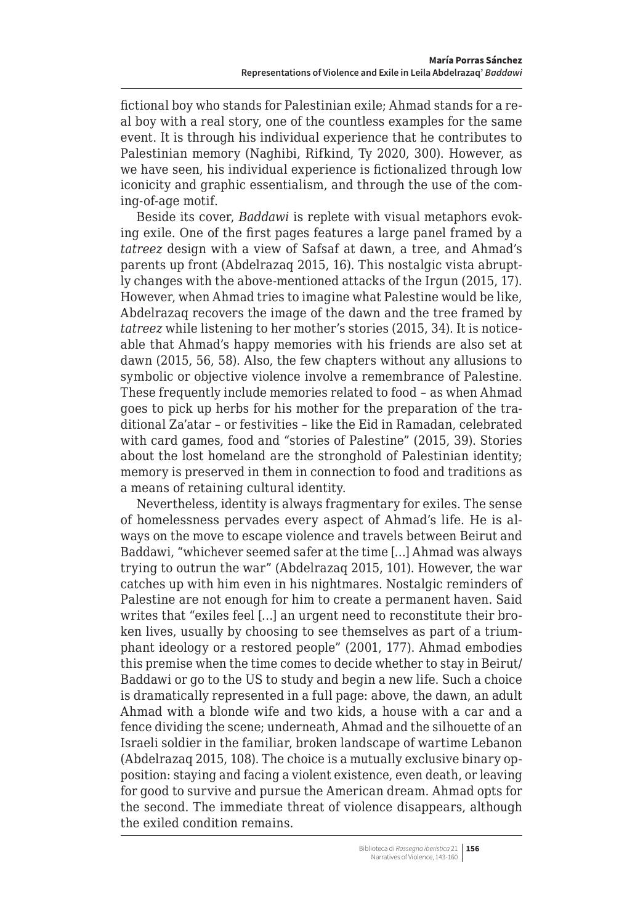fictional boy who stands for Palestinian exile; Ahmad stands for a real boy with a real story, one of the countless examples for the same event. It is through his individual experience that he contributes to Palestinian memory (Naghibi, Rifkind, Ty 2020, 300). However, as we have seen, his individual experience is fictionalized through low iconicity and graphic essentialism, and through the use of the coming-of-age motif.

Beside its cover, *Baddawi* is replete with visual metaphors evoking exile. One of the first pages features a large panel framed by a *tatreez* design with a view of Safsaf at dawn, a tree, and Ahmad's parents up front (Abdelrazaq 2015, 16). This nostalgic vista abruptly changes with the above-mentioned attacks of the Irgun (2015, 17). However, when Ahmad tries to imagine what Palestine would be like, Abdelrazaq recovers the image of the dawn and the tree framed by *tatreez* while listening to her mother's stories (2015, 34). It is noticeable that Ahmad's happy memories with his friends are also set at dawn (2015, 56, 58). Also, the few chapters without any allusions to symbolic or objective violence involve a remembrance of Palestine. These frequently include memories related to food – as when Ahmad goes to pick up herbs for his mother for the preparation of the traditional Za'atar – or festivities – like the Eid in Ramadan, celebrated with card games, food and "stories of Palestine" (2015, 39). Stories about the lost homeland are the stronghold of Palestinian identity; memory is preserved in them in connection to food and traditions as a means of retaining cultural identity.

Nevertheless, identity is always fragmentary for exiles. The sense of homelessness pervades every aspect of Ahmad's life. He is always on the move to escape violence and travels between Beirut and Baddawi, "whichever seemed safer at the time […] Ahmad was always trying to outrun the war" (Abdelrazaq 2015, 101). However, the war catches up with him even in his nightmares. Nostalgic reminders of Palestine are not enough for him to create a permanent haven. Said writes that "exiles feel […] an urgent need to reconstitute their broken lives, usually by choosing to see themselves as part of a triumphant ideology or a restored people" (2001, 177). Ahmad embodies this premise when the time comes to decide whether to stay in Beirut/ Baddawi or go to the US to study and begin a new life. Such a choice is dramatically represented in a full page: above, the dawn, an adult Ahmad with a blonde wife and two kids, a house with a car and a fence dividing the scene; underneath, Ahmad and the silhouette of an Israeli soldier in the familiar, broken landscape of wartime Lebanon (Abdelrazaq 2015, 108). The choice is a mutually exclusive binary opposition: staying and facing a violent existence, even death, or leaving for good to survive and pursue the American dream. Ahmad opts for the second. The immediate threat of violence disappears, although the exiled condition remains.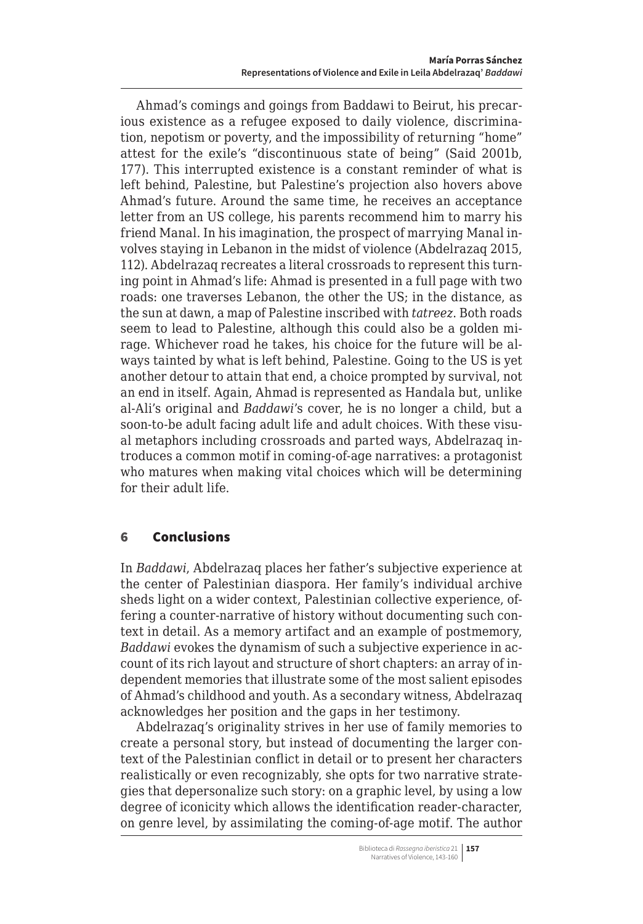<span id="page-14-0"></span>Ahmad's comings and goings from Baddawi to Beirut, his precarious existence as a refugee exposed to daily violence, discrimination, nepotism or poverty, and the impossibility of returning "home" attest for the exile's "discontinuous state of being" (Said 2001b, 177). This interrupted existence is a constant reminder of what is left behind, Palestine, but Palestine's projection also hovers above Ahmad's future. Around the same time, he receives an acceptance letter from an US college, his parents recommend him to marry his friend Manal. In his imagination, the prospect of marrying Manal involves staying in Lebanon in the midst of violence (Abdelrazaq 2015, 112). Abdelrazaq recreates a literal crossroads to represent this turning point in Ahmad's life: Ahmad is presented in a full page with two roads: one traverses Lebanon, the other the US; in the distance, as the sun at dawn, a map of Palestine inscribed with *tatreez*. Both roads seem to lead to Palestine, although this could also be a golden mirage. Whichever road he takes, his choice for the future will be always tainted by what is left behind, Palestine. Going to the US is yet another detour to attain that end, a choice prompted by survival, not an end in itself. Again, Ahmad is represented as Handala but, unlike al-Ali's original and *Baddawi*'s cover, he is no longer a child, but a soon-to-be adult facing adult life and adult choices. With these visual metaphors including crossroads and parted ways, Abdelrazaq introduces a common motif in coming-of-age narratives: a protagonist who matures when making vital choices which will be determining for their adult life.

## 6 Conclusions

In *Baddawi*, Abdelrazaq places her father's subjective experience at the center of Palestinian diaspora. Her family's individual archive sheds light on a wider context, Palestinian collective experience, offering a counter-narrative of history without documenting such context in detail. As a memory artifact and an example of postmemory, *Baddawi* evokes the dynamism of such a subjective experience in account of its rich layout and structure of short chapters: an array of independent memories that illustrate some of the most salient episodes of Ahmad's childhood and youth. As a secondary witness, Abdelrazaq acknowledges her position and the gaps in her testimony.

Abdelrazaq's originality strives in her use of family memories to create a personal story, but instead of documenting the larger context of the Palestinian conflict in detail or to present her characters realistically or even recognizably, she opts for two narrative strategies that depersonalize such story: on a graphic level, by using a low degree of iconicity which allows the identification reader-character, on genre level, by assimilating the coming-of-age motif. The author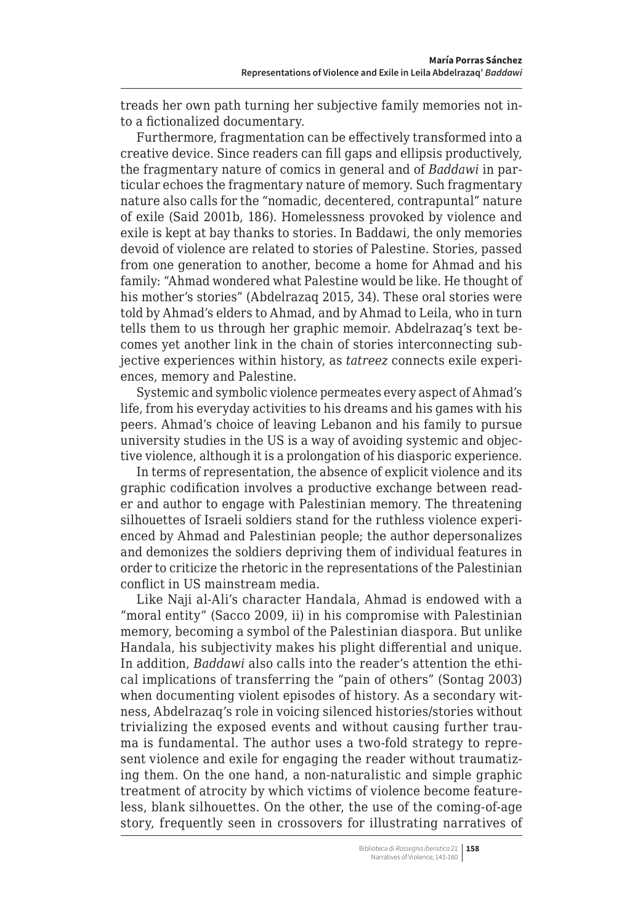treads her own path turning her subjective family memories not into a fictionalized documentary.

Furthermore, fragmentation can be effectively transformed into a creative device. Since readers can fill gaps and ellipsis productively, the fragmentary nature of comics in general and of *Baddawi* in particular echoes the fragmentary nature of memory. Such fragmentary nature also calls for the "nomadic, decentered, contrapuntal" nature of exile (Said 2001b, 186). Homelessness provoked by violence and exile is kept at bay thanks to stories. In Baddawi, the only memories devoid of violence are related to stories of Palestine. Stories, passed from one generation to another, become a home for Ahmad and his family: "Ahmad wondered what Palestine would be like. He thought of his mother's stories" (Abdelrazaq 2015, 34). These oral stories were told by Ahmad's elders to Ahmad, and by Ahmad to Leila, who in turn tells them to us through her graphic memoir. Abdelrazaq's text becomes yet another link in the chain of stories interconnecting subjective experiences within history, as *tatreez* connects exile experiences, memory and Palestine.

Systemic and symbolic violence permeates every aspect of Ahmad's life, from his everyday activities to his dreams and his games with his peers. Ahmad's choice of leaving Lebanon and his family to pursue university studies in the US is a way of avoiding systemic and objective violence, although it is a prolongation of his diasporic experience.

In terms of representation, the absence of explicit violence and its graphic codification involves a productive exchange between reader and author to engage with Palestinian memory. The threatening silhouettes of Israeli soldiers stand for the ruthless violence experienced by Ahmad and Palestinian people; the author depersonalizes and demonizes the soldiers depriving them of individual features in order to criticize the rhetoric in the representations of the Palestinian conflict in US mainstream media.

Like Naji al-Ali's character Handala, Ahmad is endowed with a "moral entity" (Sacco 2009, ii) in his compromise with Palestinian memory, becoming a symbol of the Palestinian diaspora. But unlike Handala, his subjectivity makes his plight differential and unique. In addition, *Baddawi* also calls into the reader's attention the ethical implications of transferring the "pain of others" (Sontag 2003) when documenting violent episodes of history. As a secondary witness, Abdelrazaq's role in voicing silenced histories/stories without trivializing the exposed events and without causing further trauma is fundamental. The author uses a two-fold strategy to represent violence and exile for engaging the reader without traumatizing them. On the one hand, a non-naturalistic and simple graphic treatment of atrocity by which victims of violence become featureless, blank silhouettes. On the other, the use of the coming-of-age story, frequently seen in crossovers for illustrating narratives of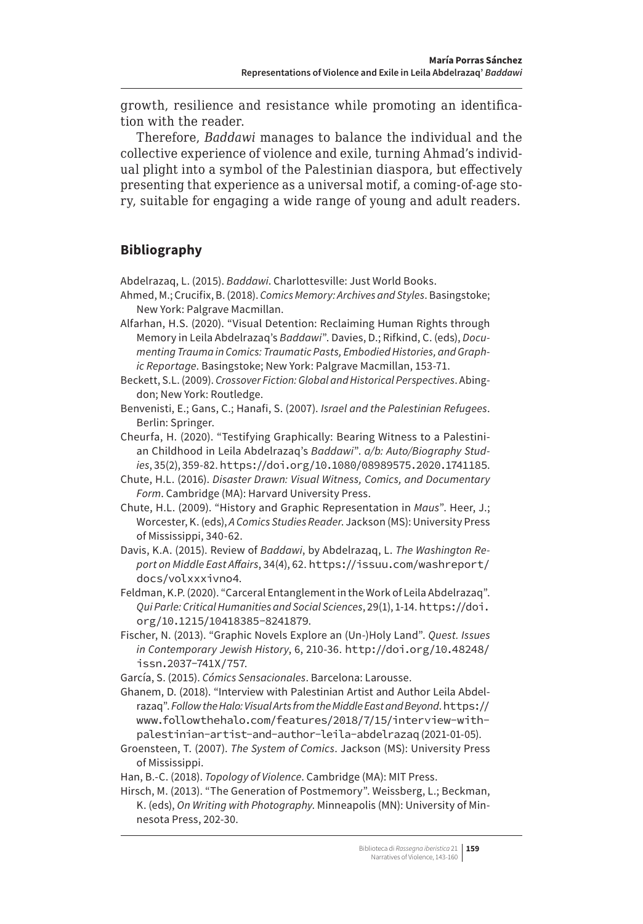growth, resilience and resistance while promoting an identification with the reader.

Therefore, *Baddawi* manages to balance the individual and the collective experience of violence and exile, turning Ahmad's individual plight into a symbol of the Palestinian diaspora, but effectively presenting that experience as a universal motif, a coming-of-age story, suitable for engaging a wide range of young and adult readers.

# **Bibliography**

Abdelrazaq, L. (2015). *Baddawi*. Charlottesville: Just World Books.

Ahmed, M.; Crucifix, B. (2018). *Comics Memory: Archives and Styles*. Basingstoke; New York: Palgrave Macmillan.

Alfarhan, H.S. (2020). "Visual Detention: Reclaiming Human Rights through Memory in Leila Abdelrazaq's *Baddawi*". Davies, D.; Rifkind, C. (eds), *Documenting Trauma in Comics: Traumatic Pasts, Embodied Histories, and Graphic Reportage*. Basingstoke; New York: Palgrave Macmillan, 153-71.

Beckett, S.L. (2009). *Crossover Fiction: Global and Historical Perspectives*. Abingdon; New York: Routledge.

Benvenisti, E.; Gans, C.; Hanafi, S. (2007). *Israel and the Palestinian Refugees*. Berlin: Springer.

Cheurfa, H. (2020). "Testifying Graphically: Bearing Witness to a Palestinian Childhood in Leila Abdelrazaq's *Baddawi*". *a/b: Auto/Biography Studies*, 35(2), 359-82. <https://doi.org/10.1080/08989575.2020.1741185>.

Chute, H.L. (2016). *Disaster Drawn: Visual Witness, Comics, and Documentary Form*. Cambridge (MA): Harvard University Press.

Chute, H.L. (2009). "History and Graphic Representation in *Maus*". Heer, J.; Worcester, K. (eds), *A Comics Studies Reader*. Jackson (MS): University Press of Mississippi, 340-62.

Davis, K.A. (2015). Review of *Baddawi*, by Abdelrazaq, L. *The Washington Report on Middle East Affairs*, 34(4), 62. [https://issuu.com/washreport/](https://issuu.com/washreport/docs/volxxxivno4) [docs/volxxxivno4](https://issuu.com/washreport/docs/volxxxivno4).

Feldman, K.P. (2020). "Carceral Entanglement in the Work of Leila Abdelrazaq". *Qui Parle: Critical Humanities and Social Sciences*, 29(1), 1-14. [https://doi.](https://doi.org/10.1215/10418385-8241879) [org/10.1215/10418385-8241879](https://doi.org/10.1215/10418385-8241879).

Fischer, N. (2013). "Graphic Novels Explore an (Un-)Holy Land". *Quest. Issues in Contemporary Jewish History*, 6, 210-36. [http://doi.org/10.48248/](http://doi.org/10.48248/issn.2037-741X/757) [issn.2037-741X/757](http://doi.org/10.48248/issn.2037-741X/757).

García, S. (2015). *Cómics Sensacionales*. Barcelona: Larousse.

Ghanem, D. (2018). "Interview with Palestinian Artist and Author Leila Abdelrazaq". *Follow the Halo: Visual Arts from the Middle East and Beyond*. [https://](https://www.followthehalo.com/features/2018/7/15/interview-with-palestinian-artist-and-author-leila-abdelrazaq) [www.followthehalo.com/features/2018/7/15/interview-with](https://www.followthehalo.com/features/2018/7/15/interview-with-palestinian-artist-and-author-leila-abdelrazaq)[palestinian-artist-and-author-leila-abdelrazaq](https://www.followthehalo.com/features/2018/7/15/interview-with-palestinian-artist-and-author-leila-abdelrazaq) (2021-01-05).

Groensteen, T. (2007). *The System of Comics*. Jackson (MS): University Press of Mississippi.

Han, B.-C. (2018). *Topology of Violence*. Cambridge (MA): MIT Press.

Hirsch, M. (2013). "The Generation of Postmemory". Weissberg, L.; Beckman, K. (eds), *On Writing with Photography*. Minneapolis (MN): University of Minnesota Press, 202-30.